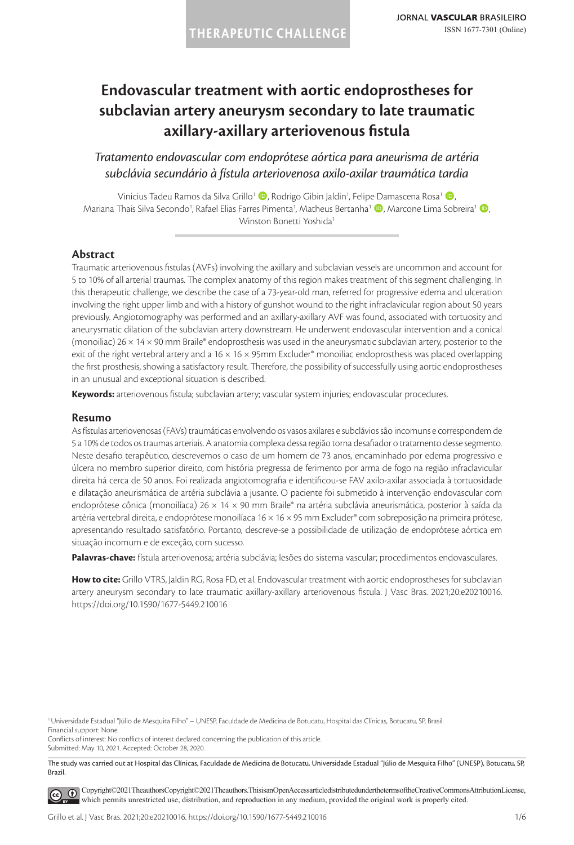# **Endovascular treatment with aortic endoprostheses for subclavian artery aneurysm secondary to late traumatic axillary-axillary arteriovenous fistula**

*Tratamento endovascular com endoprótese aórtica para aneurisma de artéria subclávia secundário à fístula arteriovenosa axilo-axilar traumática tardia*

Vinicius Tadeu Ramos da Silva Grillo<sup>1</sup> (D, Rodrigo Gibin Jaldin<sup>1</sup>, Felipe Damascena Rosa<sup>1</sup> (D, Mariana Thais Silva Secondo<sup>1</sup>, Rafael Elias Farres Pimenta<sup>1</sup>, Matheus Bertanha<sup>1</sup> (<mark>D</mark>, Marcone Lima Sobreira<sup>1</sup> (D, Winston Bonetti Yoshida<sup>1</sup>

### **Abstract**

Traumatic arteriovenous fistulas (AVFs) involving the axillary and subclavian vessels are uncommon and account for 5 to 10% of all arterial traumas. The complex anatomy of this region makes treatment of this segment challenging. In this therapeutic challenge, we describe the case of a 73-year-old man, referred for progressive edema and ulceration involving the right upper limb and with a history of gunshot wound to the right infraclavicular region about 50 years previously. Angiotomography was performed and an axillary-axillary AVF was found, associated with tortuosity and aneurysmatic dilation of the subclavian artery downstream. He underwent endovascular intervention and a conical (monoiliac) 26 × 14 × 90 mm Braile® endoprosthesis was used in the aneurysmatic subclavian artery, posterior to the exit of the right vertebral artery and a 16  $\times$  16  $\times$  95mm Excluder® monoiliac endoprosthesis was placed overlapping the first prosthesis, showing a satisfactory result. Therefore, the possibility of successfully using aortic endoprostheses in an unusual and exceptional situation is described.

**Keywords:** arteriovenous fistula; subclavian artery; vascular system injuries; endovascular procedures.

#### **Resumo**

As fístulas arteriovenosas (FAVs) traumáticas envolvendo os vasos axilares e subclávios são incomuns e correspondem de 5 a 10% de todos os traumas arteriais. A anatomia complexa dessa região torna desafiador o tratamento desse segmento. Neste desafio terapêutico, descrevemos o caso de um homem de 73 anos, encaminhado por edema progressivo e úlcera no membro superior direito, com história pregressa de ferimento por arma de fogo na região infraclavicular direita há cerca de 50 anos. Foi realizada angiotomografia e identificou-se FAV axilo-axilar associada à tortuosidade e dilatação aneurismática de artéria subclávia a jusante. O paciente foi submetido à intervenção endovascular com endoprótese cônica (monoilíaca) 26 × 14 × 90 mm Braile® na artéria subclávia aneurismática, posterior à saída da artéria vertebral direita, e endoprótese monoilíaca 16 × 16 × 95 mm Excluder® com sobreposição na primeira prótese, apresentando resultado satisfatório. Portanto, descreve-se a possibilidade de utilização de endoprótese aórtica em situação incomum e de exceção, com sucesso.

**Palavras-chave:** fístula arteriovenosa; artéria subclávia; lesões do sistema vascular; procedimentos endovasculares.

**How to cite:** Grillo VTRS, Jaldin RG, Rosa FD, et al. Endovascular treatment with aortic endoprostheses for subclavian artery aneurysm secondary to late traumatic axillary-axillary arteriovenous fistula. J Vasc Bras. 2021;20:e20210016. https://doi.org/10.1590/1677-5449.210016

Conflicts of interest: No conflicts of interest declared concerning the publication of this article. Submitted: May 10, 2021. Accepted: October 28, 2020.

The study was carried out at Hospital das Clínicas, Faculdade de Medicina de Botucatu, Universidade Estadual "Júlio de Mesquita Filho" (UNESP), Botucatu, SP, Brazil.

[C](https://creativecommons.org/licenses/by/4.0/)opyright© 2021 The authors Copyright© 2021 The authors. This is an Open Access article distributed under the terms of the Creative Commons Attribution License,  $\odot$ which permits unrestricted use, distribution, and reproduction in any medium, provided the original work is properly cited.

<sup>1</sup>Universidade Estadual "Júlio de Mesquita Filho" – UNESP, Faculdade de Medicina de Botucatu, Hospital das Clínicas, Botucatu, SP, Brasil. Financial support: None.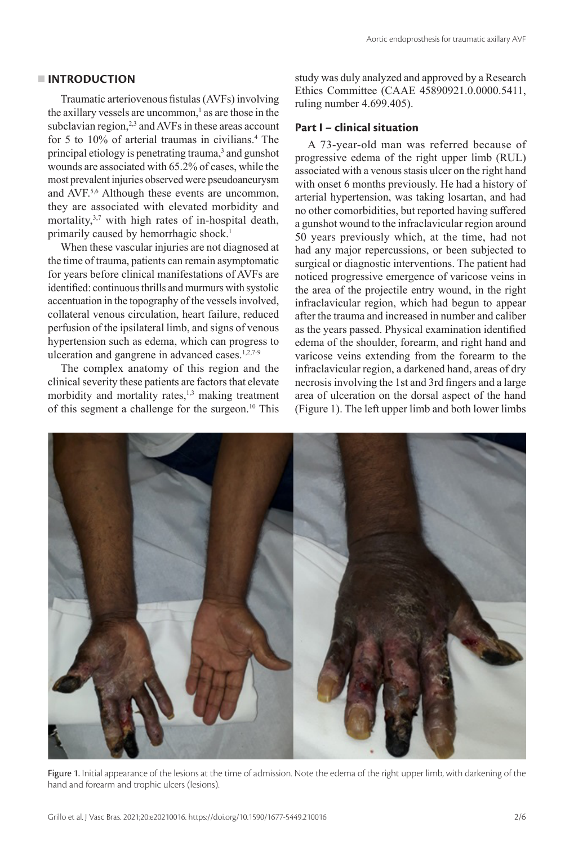#### **INTRODUCTION**

Traumatic arteriovenous fistulas (AVFs) involving the axillary vessels are uncommon, $^1$  as are those in the subclavian region, $^{2,3}$  and AVFs in these areas account for 5 to 10% of arterial traumas in civilians.<sup>4</sup> The principal etiology is penetrating trauma,<sup>3</sup> and gunshot wounds are associated with 65.2% of cases, while the most prevalent injuries observed were pseudoaneurysm and AVF.5,6 Although these events are uncommon, they are associated with elevated morbidity and mortality,3,7 with high rates of in-hospital death, primarily caused by hemorrhagic shock.<sup>1</sup>

When these vascular injuries are not diagnosed at the time of trauma, patients can remain asymptomatic for years before clinical manifestations of AVFs are identified: continuous thrills and murmurs with systolic accentuation in the topography of the vessels involved, collateral venous circulation, heart failure, reduced perfusion of the ipsilateral limb, and signs of venous hypertension such as edema, which can progress to ulceration and gangrene in advanced cases.<sup>1,2,7-9</sup>

The complex anatomy of this region and the clinical severity these patients are factors that elevate morbidity and mortality rates, $1,3$  making treatment of this segment a challenge for the surgeon.10 This

study was duly analyzed and approved by a Research Ethics Committee (CAAE 45890921.0.0000.5411, ruling number 4.699.405).

### **Part I – clinical situation**

A 73-year-old man was referred because of progressive edema of the right upper limb (RUL) associated with a venous stasis ulcer on the right hand with onset 6 months previously. He had a history of arterial hypertension, was taking losartan, and had no other comorbidities, but reported having suffered a gunshot wound to the infraclavicular region around 50 years previously which, at the time, had not had any major repercussions, or been subjected to surgical or diagnostic interventions. The patient had noticed progressive emergence of varicose veins in the area of the projectile entry wound, in the right infraclavicular region, which had begun to appear after the trauma and increased in number and caliber as the years passed. Physical examination identified edema of the shoulder, forearm, and right hand and varicose veins extending from the forearm to the infraclavicular region, a darkened hand, areas of dry necrosis involving the 1st and 3rd fingers and a large area of ulceration on the dorsal aspect of the hand (Figure 1). The left upper limb and both lower limbs



Figure 1. Initial appearance of the lesions at the time of admission. Note the edema of the right upper limb, with darkening of the hand and forearm and trophic ulcers (lesions).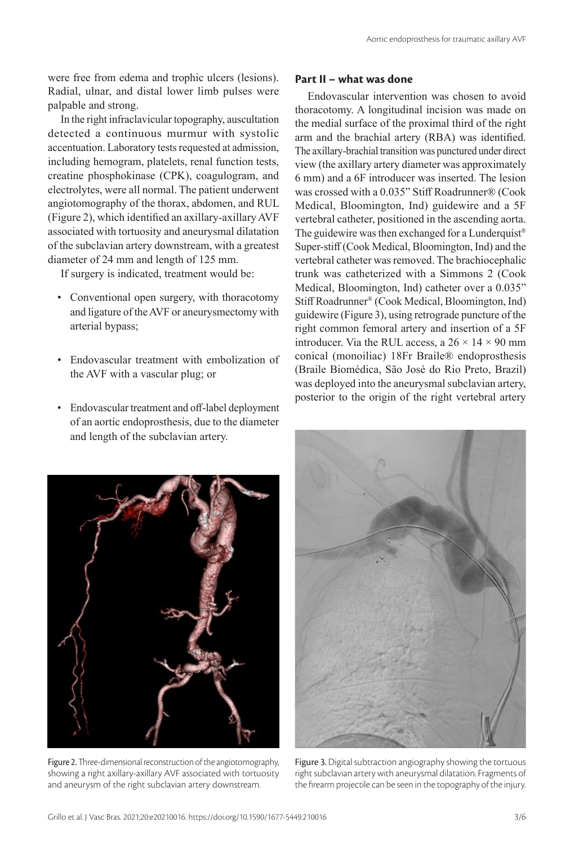were free from edema and trophic ulcers (lesions). Radial, ulnar, and distal lower limb pulses were palpable and strong.

In the right infraclavicular topography, auscultation detected a continuous murmur with systolic accentuation. Laboratory tests requested at admission, including hemogram, platelets, renal function tests, creatine phosphokinase (CPK), coagulogram, and electrolytes, were all normal. The patient underwent angiotomography of the thorax, abdomen, and RUL (Figure 2), which identified an axillary-axillary AVF associated with tortuosity and aneurysmal dilatation of the subclavian artery downstream, with a greatest diameter of 24 mm and length of 125 mm.

If surgery is indicated, treatment would be:

- Conventional open surgery, with thoracotomy and ligature of the AVF or aneurysmectomy with arterial bypass;
- Endovascular treatment with embolization of the AVF with a vascular plug; or
- Endovascular treatment and off-label deployment of an aortic endoprosthesis, due to the diameter and length of the subclavian artery.

## **Part II – what was done**

Endovascular intervention was chosen to avoid thoracotomy. A longitudinal incision was made on the medial surface of the proximal third of the right arm and the brachial artery (RBA) was identified. The axillary-brachial transition was punctured under direct view (the axillary artery diameter was approximately 6 mm) and a 6F introducer was inserted. The lesion was crossed with a 0.035" Stiff Roadrunner® (Cook Medical, Bloomington, Ind) guidewire and a 5F vertebral catheter, positioned in the ascending aorta. The guidewire was then exchanged for a Lunderquist<sup>®</sup> Super-stiff (Cook Medical, Bloomington, Ind) and the vertebral catheter was removed. The brachiocephalic trunk was catheterized with a Simmons 2 (Cook Medical, Bloomington, Ind) catheter over a 0.035" Stiff Roadrunner® (Cook Medical, Bloomington, Ind) guidewire (Figure 3), using retrograde puncture of the right common femoral artery and insertion of a 5F introducer. Via the RUL access, a  $26 \times 14 \times 90$  mm conical (monoiliac) 18Fr Braile® endoprosthesis (Braile Biomédica, São José do Rio Preto, Brazil) was deployed into the aneurysmal subclavian artery, posterior to the origin of the right vertebral artery



Figure 2. Three-dimensional reconstruction of the angiotomography, showing a right axillary-axillary AVF associated with tortuosity and aneurysm of the right subclavian artery downstream.



Figure 3. Digital subtraction angiography showing the tortuous right subclavian artery with aneurysmal dilatation. Fragments of the firearm projectile can be seen in the topography of the injury.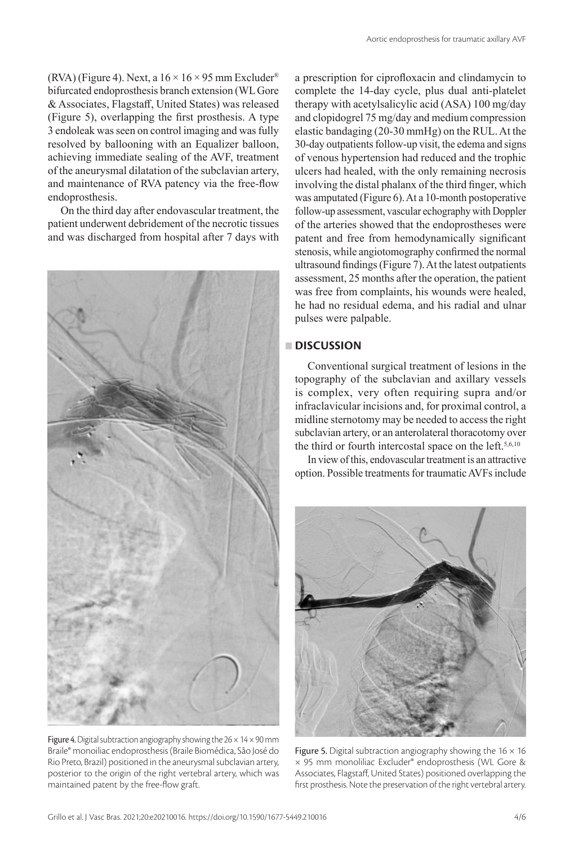(RVA) (Figure 4). Next, a  $16 \times 16 \times 95$  mm Excluder<sup>®</sup> bifurcated endoprosthesis branch extension (WL Gore & Associates, Flagstaff, United States) was released (Figure 5), overlapping the first prosthesis. A type 3 endoleak was seen on control imaging and was fully resolved by ballooning with an Equalizer balloon, achieving immediate sealing of the AVF, treatment of the aneurysmal dilatation of the subclavian artery, and maintenance of RVA patency via the free-flow endoprosthesis.

On the third day after endovascular treatment, the patient underwent debridement of the necrotic tissues and was discharged from hospital after 7 days with



Figure 4. Digital subtraction angiography showing the  $26 \times 14 \times 90$  mm Braile® monoiliac endoprosthesis (Braile Biomédica, São José do Rio Preto, Brazil) positioned in the aneurysmal subclavian artery, posterior to the origin of the right vertebral artery, which was maintained patent by the free-flow graft.

a prescription for ciprofloxacin and clindamycin to complete the 14-day cycle, plus dual anti-platelet therapy with acetylsalicylic acid (ASA) 100 mg/day and clopidogrel 75 mg/day and medium compression elastic bandaging (20-30 mmHg) on the RUL. At the 30-day outpatients follow-up visit, the edema and signs of venous hypertension had reduced and the trophic ulcers had healed, with the only remaining necrosis involving the distal phalanx of the third finger, which was amputated (Figure 6). At a 10-month postoperative follow-up assessment, vascular echography with Doppler of the arteries showed that the endoprostheses were patent and free from hemodynamically significant stenosis, while angiotomography confirmed the normal ultrasound findings (Figure 7). At the latest outpatients assessment, 25 months after the operation, the patient was free from complaints, his wounds were healed, he had no residual edema, and his radial and ulnar pulses were palpable.

## **DISCUSSION**

Conventional surgical treatment of lesions in the topography of the subclavian and axillary vessels is complex, very often requiring supra and/or infraclavicular incisions and, for proximal control, a midline sternotomy may be needed to access the right subclavian artery, or an anterolateral thoracotomy over the third or fourth intercostal space on the left.<sup>5,6,10</sup>

In view of this, endovascular treatment is an attractive option. Possible treatments for traumatic AVFs include



Figure 5. Digital subtraction angiography showing the  $16 \times 16$ × 95 mm monoliliac Excluder® endoprosthesis (WL Gore & Associates, Flagstaff, United States) positioned overlapping the first prosthesis. Note the preservation of the right vertebral artery.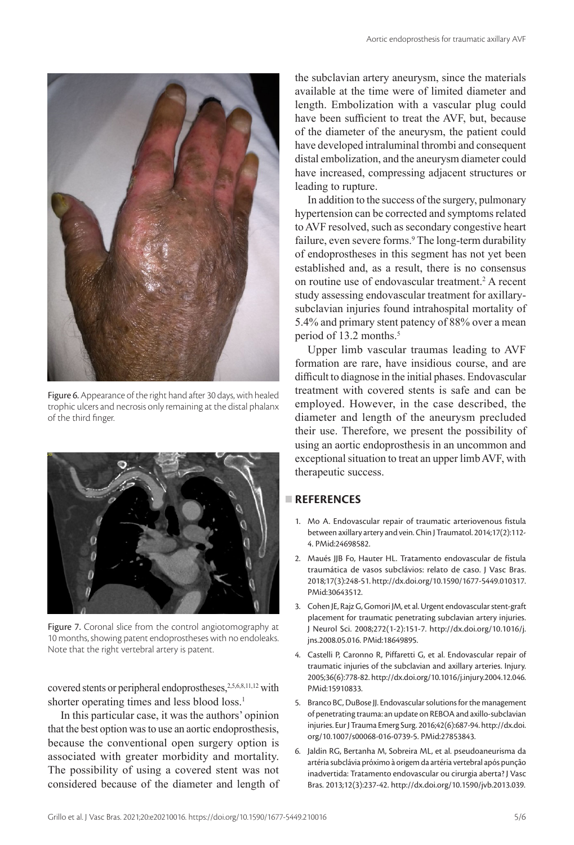

Figure 6. Appearance of the right hand after 30 days, with healed trophic ulcers and necrosis only remaining at the distal phalanx of the third finger.



Figure 7. Coronal slice from the control angiotomography at 10 months, showing patent endoprostheses with no endoleaks. Note that the right vertebral artery is patent.

covered stents or peripheral endoprostheses,<sup>2,5,6,8,11,12</sup> with shorter operating times and less blood loss.<sup>1</sup>

In this particular case, it was the authors' opinion that the best option was to use an aortic endoprosthesis, because the conventional open surgery option is associated with greater morbidity and mortality. The possibility of using a covered stent was not considered because of the diameter and length of the subclavian artery aneurysm, since the materials available at the time were of limited diameter and length. Embolization with a vascular plug could have been sufficient to treat the AVF, but, because of the diameter of the aneurysm, the patient could have developed intraluminal thrombi and consequent distal embolization, and the aneurysm diameter could have increased, compressing adjacent structures or leading to rupture.

In addition to the success of the surgery, pulmonary hypertension can be corrected and symptoms related to AVF resolved, such as secondary congestive heart failure, even severe forms.<sup>9</sup> The long-term durability of endoprostheses in this segment has not yet been established and, as a result, there is no consensus on routine use of endovascular treatment.<sup>2</sup> A recent study assessing endovascular treatment for axillarysubclavian injuries found intrahospital mortality of 5.4% and primary stent patency of 88% over a mean period of 13.2 months.<sup>5</sup>

Upper limb vascular traumas leading to AVF formation are rare, have insidious course, and are difficult to diagnose in the initial phases. Endovascular treatment with covered stents is safe and can be employed. However, in the case described, the diameter and length of the aneurysm precluded their use. Therefore, we present the possibility of using an aortic endoprosthesis in an uncommon and exceptional situation to treat an upper limb AVF, with therapeutic success.

## **REFERENCES**

- 1. Mo A. Endovascular repair of traumatic arteriovenous fistula between axillary artery and vein. Chin J Traumatol. 2014;17(2):112- 4. [PMid:24698582.](https://www.ncbi.nlm.nih.gov/entrez/query.fcgi?cmd=Retrieve&db=PubMed&list_uids=24698582&dopt=Abstract)
- 2. Maués JJB Fo, Hauter HL. Tratamento endovascular de fístula traumática de vasos subclávios: relato de caso. J Vasc Bras. 2018;17(3):248-51. [http://dx.doi.org/10.1590/1677-5449.010317](https://doi.org/10.1590/1677-5449.010317). [PMid:30643512.](https://www.ncbi.nlm.nih.gov/entrez/query.fcgi?cmd=Retrieve&db=PubMed&list_uids=30643512&dopt=Abstract)
- 3. Cohen JE, Rajz G, Gomori JM, et al. Urgent endovascular stent-graft placement for traumatic penetrating subclavian artery injuries. J Neurol Sci. 2008;272(1-2):151-7. [http://dx.doi.org/10.1016/j.](https://doi.org/10.1016/j.jns.2008.05.016) [jns.2008.05.016.](https://doi.org/10.1016/j.jns.2008.05.016) [PMid:18649895.](https://www.ncbi.nlm.nih.gov/entrez/query.fcgi?cmd=Retrieve&db=PubMed&list_uids=18649895&dopt=Abstract)
- 4. Castelli P, Caronno R, Piffaretti G, et al. Endovascular repair of traumatic injuries of the subclavian and axillary arteries. Injury. 2005;36(6):778-82. [http://dx.doi.org/10.1016/j.injury.2004.12.046](https://doi.org/10.1016/j.injury.2004.12.046). [PMid:15910833.](https://www.ncbi.nlm.nih.gov/entrez/query.fcgi?cmd=Retrieve&db=PubMed&list_uids=15910833&dopt=Abstract)
- 5. Branco BC, DuBose JJ. Endovascular solutions for the management of penetrating trauma: an update on REBOA and axillo-subclavian injuries. Eur J Trauma Emerg Surg. 2016;42(6):687-94. [http://dx.doi.](https://doi.org/10.1007/s00068-016-0739-5) [org/10.1007/s00068-016-0739-5](https://doi.org/10.1007/s00068-016-0739-5)[. PMid:27853843.](https://www.ncbi.nlm.nih.gov/entrez/query.fcgi?cmd=Retrieve&db=PubMed&list_uids=27853843&dopt=Abstract)
- 6. Jaldin RG, Bertanha M, Sobreira ML, et al. pseudoaneurisma da artéria subclávia próximo à origem da artéria vertebral após punção inadvertida: Tratamento endovascular ou cirurgia aberta? J Vasc Bras. 2013;12(3):237-42. [http://dx.doi.org/10.1590/jvb.2013.039.](https://doi.org/10.1590/jvb.2013.039)